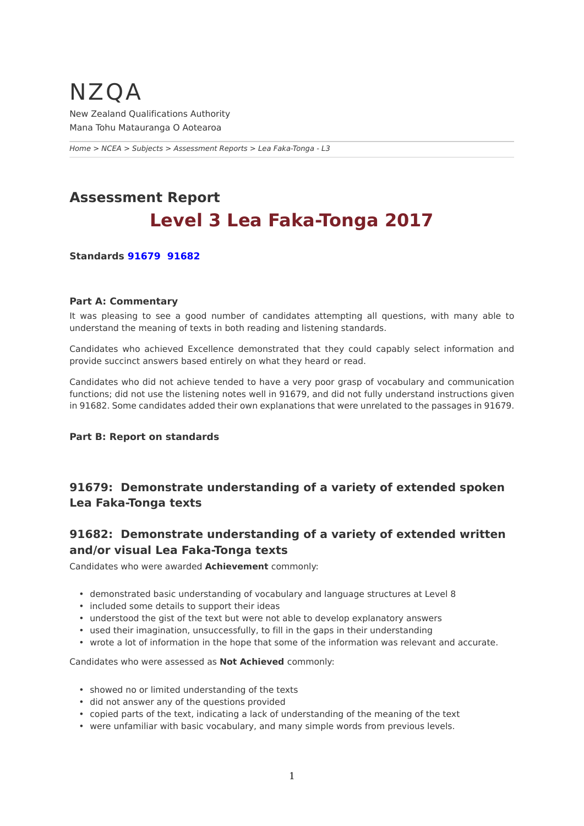## <span id="page-0-0"></span>NZQA New Zealand Qualifications Authority Mana Tohu Matauranga O Aotearoa

*[Home](https://www-test5.nzqa.govt.nz/home) > [NCEA](https://www-test5.nzqa.govt.nz/ncea/) > [Subjects](https://www-test5.nzqa.govt.nz/ncea/subjects/) > [Assessment Reports](https://www-test5.nzqa.govt.nz/ncea/subjects/assessment-reports/) > Lea Faka-Tonga - L3*

# **Assessment Report Level 3 Lea Faka-Tonga 2017**

**Standards [91679](https://www-test5.nzqa.govt.nz/#91679)  [91682](https://www-test5.nzqa.govt.nz/#91682)**

#### **Part A: Commentary**

It was pleasing to see a good number of candidates attempting all questions, with many able to understand the meaning of texts in both reading and listening standards.

Candidates who achieved Excellence demonstrated that they could capably select information and provide succinct answers based entirely on what they heard or read.

Candidates who did not achieve tended to have a very poor grasp of vocabulary and communication functions; did not use the listening notes well in 91679, and did not fully understand instructions given in 91682. Some candidates added their own explanations that were unrelated to the passages in 91679.

#### **Part B: Report on standards**

## **91679: Demonstrate understanding of a variety of extended spoken Lea Faka-Tonga texts**

### **91682: Demonstrate understanding of a variety of extended written and/or visual Lea Faka-Tonga texts**

Candidates who were awarded **Achievement** commonly:

- demonstrated basic understanding of vocabulary and language structures at Level 8
- included some details to support their ideas
- understood the gist of the text but were not able to develop explanatory answers
- used their imagination, unsuccessfully, to fill in the gaps in their understanding
- wrote a lot of information in the hope that some of the information was relevant and accurate.

Candidates who were assessed as **Not Achieved** commonly:

- showed no or limited understanding of the texts
- did not answer any of the questions provided
- copied parts of the text, indicating a lack of understanding of the meaning of the text
- were unfamiliar with basic vocabulary, and many simple words from previous levels.